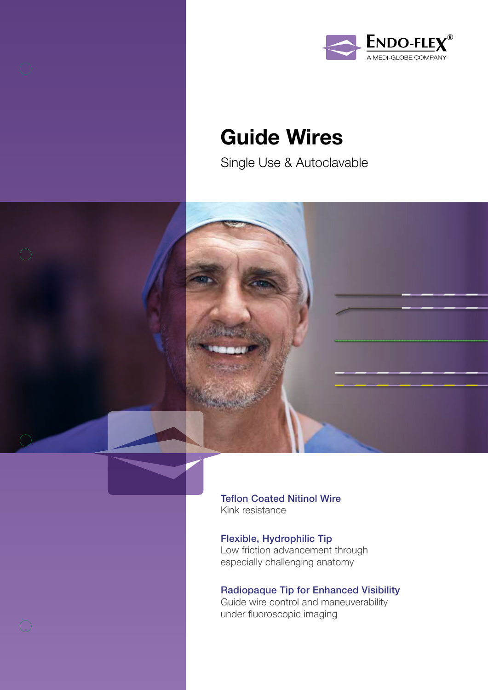



## Guide Wires

Single Use & Autoclavable



Teflon Coated Nitinol Wire Kink resistance

Flexible, Hydrophilic Tip Low friction advancement through especially challenging anatomy

Radiopaque Tip for Enhanced Visibility Guide wire control and maneuverability under fluoroscopic imaging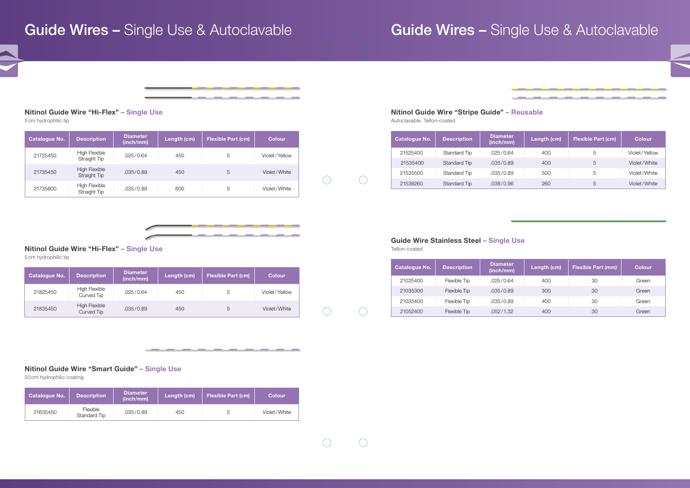# Guide Wires - Single Use & Autoclavable **Guide Wires - Single Use & Autoclavable**





5 cm hydrophilic tip

Nitinol Guide Wire "Stripe Guide" – Reusable Autoclavable, Teflon-coated

### Nitinol Guide Wire "Hi-Flex" – Single Use

5 cm hydrophilic tip

Guide Wire Stainless Steel – Single Use Teflon-coated

 $\left(\begin{array}{c} \end{array}\right)$ 

 $\bigcirc$ 

 $\bigcirc$ 

 $(\ )$ 

 $\bigcap$ 

### Nitinol Guide Wire "Smart Guide" – Single Use

50 cm hydrophilic coating

| <b>Catalogue No.</b> | <b>Description</b>            | <b>Diameter</b><br>(inch/mm) | Length (cm) | <b>Flexible Part (cm)</b> | <b>Colour</b> |
|----------------------|-------------------------------|------------------------------|-------------|---------------------------|---------------|
| 21725450             | High Flexible<br>Straight Tip | .025/0.64                    | 450         | 5                         | Violet/Yellow |
| 21735450             | High Flexible<br>Straight Tip | .035/0.89                    | 450         | 5                         | Violet/White  |
| 21735600             | High Flexible<br>Straight Tip | .035/0.89                    | 600         | 5                         | Violet/White  |



\_\_\_\_\_\_

\_\_\_\_\_\_

| <b>Catalogue No.</b> | <b>Description</b>          | <b>Diameter</b><br>(inch/mm) | Length (cm) | <b>Flexible Part (cm)</b> | <b>Colour</b> |
|----------------------|-----------------------------|------------------------------|-------------|---------------------------|---------------|
| 21825450             | High Flexible<br>Curved Tip | .025/0.64                    | 450         | ხ                         | Violet/Yellow |
| 21835450             | High Flexible<br>Curved Tip | .035/0.89                    | 450         |                           | Violet/White  |

| <b>Catalogue No.</b> | <b>Description</b>       | <b>Diameter</b><br>(inch/mm) | Length (cm) | <b>Flexible Part (cm)</b> | <b>Colour</b> |
|----------------------|--------------------------|------------------------------|-------------|---------------------------|---------------|
| 21635450             | Flexible<br>Standard Tip | .035/0.89                    | 450         | G                         | Violet/White  |

| Catalogue No. | <b>Description</b>  | <b>Diameter</b><br>(inch/mm) | Length (cm) | <b>Flexible Part (cm)</b> | <b>Colour</b> |
|---------------|---------------------|------------------------------|-------------|---------------------------|---------------|
| 21525400      | Standard Tip        | .025/0.64                    | 400         | 5                         | Violet/Yellow |
| 21535400      | <b>Standard Tip</b> | .035/0.89                    | 400         | 5                         | Violet/White  |
| 21535500      | Standard Tip        | .035/0.89                    | 500         | 5                         | Violet/White  |
| 21538260      | Standard Tip        | .038/0.96                    | 260         | 5                         | Violet/White  |

| <b>Catalogue No.</b> | <b>Description</b> | <b>Diameter</b><br>(inch/mm) | Length (cm) | <b>Flexible Part (mm)</b> | <b>Colour</b> |
|----------------------|--------------------|------------------------------|-------------|---------------------------|---------------|
| 21025400             | Flexible Tip       | .025/0.64                    | 400         | 30                        | Green         |
| 21035300             | Flexible Tip       | .035/0.89                    | 300         | 30                        | Green         |
| 21035400             | Flexible Tip       | .035/0.89                    | 400         | 30                        | Green         |
| 21052400             | Flexible Tip       | .052/1.32                    | 400         | 30                        | Green         |

\_\_